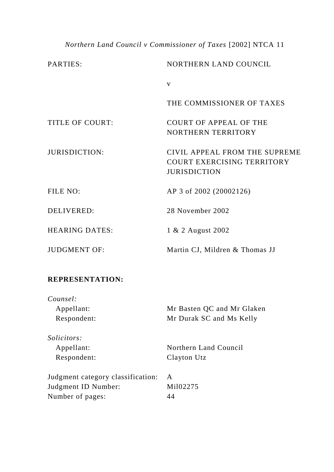## *Northern Land Council v Commissioner of Taxes* [2002] NTCA 11

| PARTIES:               | NORTHERN LAND COUNCIL                                                              |
|------------------------|------------------------------------------------------------------------------------|
|                        | $\mathbf{V}$                                                                       |
|                        | THE COMMISSIONER OF TAXES                                                          |
| <b>TITLE OF COURT:</b> | <b>COURT OF APPEAL OF THE</b><br><b>NORTHERN TERRITORY</b>                         |
| <b>JURISDICTION:</b>   | CIVIL APPEAL FROM THE SUPREME<br>COURT EXERCISING TERRITORY<br><b>JURISDICTION</b> |
| FILE NO:               | AP 3 of 2002 (20002126)                                                            |
| <b>DELIVERED:</b>      | 28 November 2002                                                                   |
| <b>HEARING DATES:</b>  | 1 & 2 August 2002                                                                  |
| <b>JUDGMENT OF:</b>    | Martin CJ, Mildren & Thomas JJ                                                     |

## **REPRESENTATION:**

*Counsel:* Appellant: Mr Basten QC and Mr Glaken<br>Respondent: Mr Durak SC and Ms Kelly Mr Durak SC and Ms Kelly

*Solicitors:*

Appellant: Northern Land Council Respondent: Clayton Utz

| Judgment category classification: |          |
|-----------------------------------|----------|
| Judgment ID Number:               | Mil02275 |
| Number of pages:                  | 44       |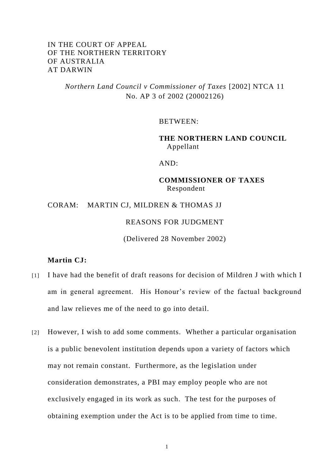## IN THE COURT OF APPEAL OF THE NORTHERN TERRITORY OF AUSTRALIA AT DARWIN

*Northern Land Council v Commissioner of Taxes* [2002] NTCA 11 No. AP 3 of 2002 (20002126)

BETWEEN:

**THE NORTHERN LAND COUNCIL** Appellant

AND:

**COMMISSIONER OF TAXES** Respondent

CORAM: MARTIN CJ, MILDREN & THOMAS JJ

REASONS FOR JUDGMENT

(Delivered 28 November 2002)

### **Martin CJ:**

- [1] I have had the benefit of draft reasons for decision of Mildren J with which I am in general agreement. His Honour's review of the factual background and law relieves me of the need to go into detail.
- [2] However, I wish to add some comments. Whether a particular organisation is a public benevolent institution depends upon a variety of factors which may not remain constant. Furthermore, as the legislation under consideration demonstrates, a PBI may employ people who are not exclusively engaged in its work as such. The test for the purposes of obtaining exemption under the Act is to be applied from time to time.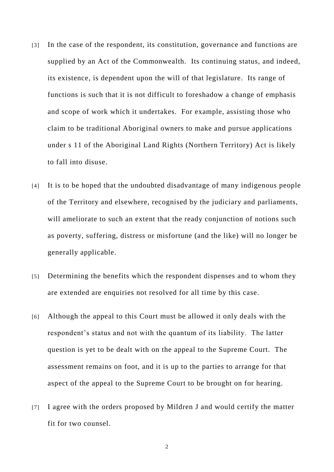- [3] In the case of the respondent, its constitution, governance and functions are supplied by an Act of the Commonwealth. Its continuing status, and indeed, its existence, is dependent upon the will of that legislature. Its range of functions is such that it is not difficult to foreshadow a change of emphasis and scope of work which it undertakes. For example, assisting those who claim to be traditional Aboriginal owners to make and pursue applications under s 11 of the Aboriginal Land Rights (Northern Territory) Act is likely to fall into disuse.
- [4] It is to be hoped that the undoubted disadvantage of many indigenous people of the Territory and elsewhere, recognised by the judiciary and parliaments, will ameliorate to such an extent that the ready conjunction of notions such as poverty, suffering, distress or misfortune (and the like) will no longer be generally applicable.
- [5] Determining the benefits which the respondent dispenses and to whom they are extended are enquiries not resolved for all time by this case.
- [6] Although the appeal to this Court must be allowed it only deals with the respondent's status and not with the quantum of its liability. The latter question is yet to be dealt with on the appeal to the Supreme Court. The assessment remains on foot, and it is up to the parties to arrange for that aspect of the appeal to the Supreme Court to be brought on for hearing.
- [7] I agree with the orders proposed by Mildren J and would certify the matter fit for two counsel.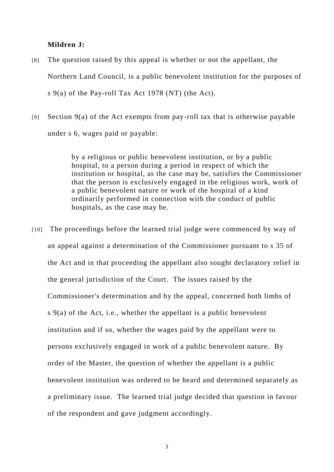### **Mildren J:**

- [8] The question raised by this appeal is whether or not the appellant, the Northern Land Council, is a public benevolent institution for the purposes of s 9(a) of the Pay-roll Tax Act 1978 (NT) (the Act).
- [9] Section 9(a) of the Act exempts from pay-roll tax that is otherwise payable under s 6, wages paid or payable:

by a religious or public benevolent institution, or by a public hospital, to a person during a period in respect of which the institution or hospital, as the case may be, satisfies the Commissioner that the person is exclusively engaged in the religious work, work of a public benevolent nature or work of the hospital of a kind ordinarily performed in connection with the conduct of public hospitals, as the case may be.

[10] The proceedings before the learned trial judge were commenced by way of an appeal against a determination of the Commissioner pursuant to s 35 of the Act and in that proceeding the appellant also sought declaratory relief in the general jurisdiction of the Court. The issues raised by the Commissioner's determination and by the appeal, concerned both limbs of s 9(a) of the Act, i.e., whether the appellant is a public benevolent institution and if so, whether the wages paid by the appellant were to persons exclusively engaged in work of a public benevolent nature. By order of the Master, the question of whether the appellant is a public benevolent institution was ordered to be heard and determined separately as a preliminary issue. The learned trial judge decided that question in favour of the respondent and gave judgment accordingly.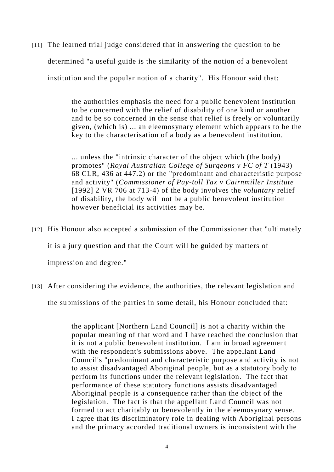[11] The learned trial judge considered that in answering the question to be determined "a useful guide is the similarity of the notion of a benevolent institution and the popular notion of a charity". His Honour said that:

> the authorities emphasis the need for a public benevolent institution to be concerned with the relief of disability of one kind or another and to be so concerned in the sense that relief is freely or voluntarily given, (which is) ... an eleemosynary element which appears to be the key to the characterisation of a body as a benevolent institution.

> ... unless the "intrinsic character of the object which (the body) promotes" (*Royal Australian College of Surgeons v FC of T* (1943) 68 CLR, 436 at 447.2) or the "predominant and characteristic purpose and activity" (*Commissioner of Pay-toll Tax v Cairnmiller Institute* [1992] 2 VR 706 at 713-4) of the body involves the *voluntary* relief of disability, the body will not be a public benevolent institution however beneficial its activities may be.

- [12] His Honour also accepted a submission of the Commissioner that "ultimately it is a jury question and that the Court will be guided by matters of impression and degree."
- [13] After considering the evidence, the authorities, the relevant legislation and the submissions of the parties in some detail, his Honour concluded that:

the applicant [Northern Land Council] is not a charity within the popular meaning of that word and I have reached the conclusion that it is not a public benevolent institution. I am in broad agreement with the respondent's submissions above. The appellant Land Council's "predominant and characteristic purpose and activity is not to assist disadvantaged Aboriginal people, but as a statutory body to perform its functions under the relevant legislation. The fact that performance of these statutory functions assists disadvantaged Aboriginal people is a consequence rather than the object of the legislation. The fact is that the appellant Land Council was not formed to act charitably or benevolently in the eleemosynary sense. I agree that its discriminatory role in dealing with Aboriginal persons and the primacy accorded traditional owners is inconsistent with the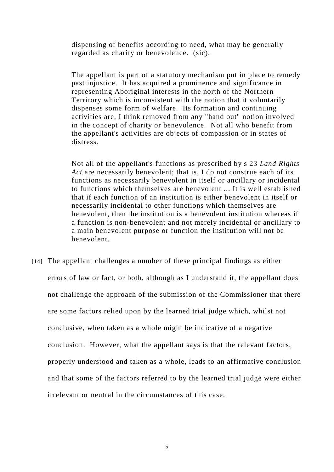dispensing of benefits according to need, what may be generally regarded as charity or benevolence. (sic).

The appellant is part of a statutory mechanism put in place to remedy past injustice. It has acquired a prominence and significance in representing Aboriginal interests in the north of the Northern Territory which is inconsistent with the notion that it voluntarily dispenses some form of welfare. Its formation and continuing activities are, I think removed from any "hand out" notion involved in the concept of charity or benevolence. Not all who benefit from the appellant's activities are objects of compassion or in states of distress.

Not all of the appellant's functions as prescribed by s 23 *Land Rights Act* are necessarily benevolent; that is, I do not construe each of its functions as necessarily benevolent in itself or ancillary or incidental to functions which themselves are benevolent ... It is well established that if each function of an institution is either benevolent in itself or necessarily incidental to other functions which themselves are benevolent, then the institution is a benevolent institution whereas if a function is non-benevolent and not merely incidental or ancillary to a main benevolent purpose or function the institution will not be benevolent.

[14] The appellant challenges a number of these principal findings as either errors of law or fact, or both, although as I understand it, the appellant does not challenge the approach of the submission of the Commissioner that there are some factors relied upon by the learned trial judge which, whilst not conclusive, when taken as a whole might be indicative of a negative conclusion. However, what the appellant says is that the relevant factors, properly understood and taken as a whole, leads to an affirmative conclusion and that some of the factors referred to by the learned trial judge were either irrelevant or neutral in the circumstances of this case.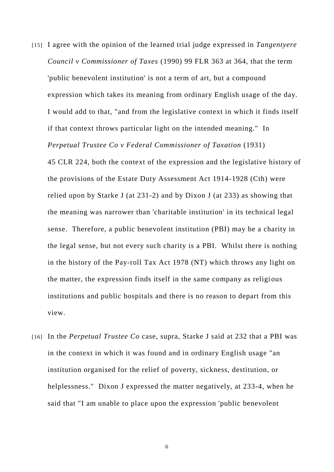[15] I agree with the opinion of the learned trial judge expressed in *Tangentyere Council v Commissioner of Taxes* (1990) 99 FLR 363 at 364, that the term 'public benevolent institution' is not a term of art, but a compound expression which takes its meaning from ordinary English usage of the day. I would add to that, "and from the legislative context in which it finds itself if that context throws particular light on the intended meaning." In *Perpetual Trustee Co v Federal Commissioner of Taxation* (1931)

45 CLR 224, both the context of the expression and the legislative history of the provisions of the Estate Duty Assessment Act 1914-1928 (Cth) were relied upon by Starke J (at 231-2) and by Dixon J (at 233) as showing that the meaning was narrower than 'charitable institution' in its technical legal sense. Therefore, a public benevolent institution (PBI) may be a charity in the legal sense, but not every such charity is a PBI. Whilst there is nothing in the history of the Pay-roll Tax Act 1978 (NT) which throws any light on the matter, the expression finds itself in the same company as religious institutions and public hospitals and there is no reason to depart from this view.

[16] In the *Perpetual Trustee Co* case, supra, Starke J said at 232 that a PBI was in the context in which it was found and in ordinary English usage "an institution organised for the relief of poverty, sickness, destitution, or helplessness." Dixon J expressed the matter negatively, at 233-4, when he said that "I am unable to place upon the expression 'public benevolent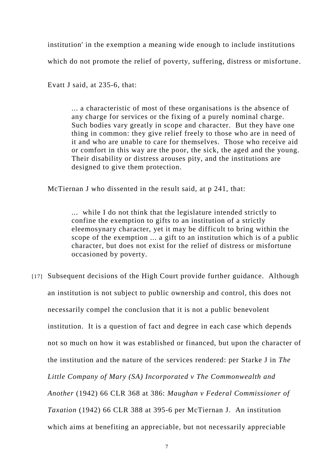institution' in the exemption a meaning wide enough to include institutions which do not promote the relief of poverty, suffering, distress or misfortune.

Evatt J said, at 235-6, that:

... a characteristic of most of these organisations is the absence of any charge for services or the fixing of a purely nominal charge. Such bodies vary greatly in scope and character. But they have one thing in common: they give relief freely to those who are in need of it and who are unable to care for themselves. Those who receive aid or comfort in this way are the poor, the sick, the aged and the young. Their disability or distress arouses pity, and the institutions are designed to give them protection.

McTiernan J who dissented in the result said, at p 241, that:

... while I do not think that the legislature intended strictly to confine the exemption to gifts to an institution of a strictly eleemosynary character, yet it may be difficult to bring within the scope of the exemption ... a gift to an institution which is of a public character, but does not exist for the relief of distress or misfortune occasioned by poverty.

[17] Subsequent decisions of the High Court provide further guidance. Although an institution is not subject to public ownership and control, this does not necessarily compel the conclusion that it is not a public benevolent institution. It is a question of fact and degree in each case which depends not so much on how it was established or financed, but upon the character of the institution and the nature of the services rendered: per Starke J in *The Little Company of Mary (SA) Incorporated v The Commonwealth and Another* (1942) 66 CLR 368 at 386: *Maughan v Federal Commissioner of Taxation* (1942) 66 CLR 388 at 395-6 per McTiernan J. An institution which aims at benefiting an appreciable, but not necessarily appreciable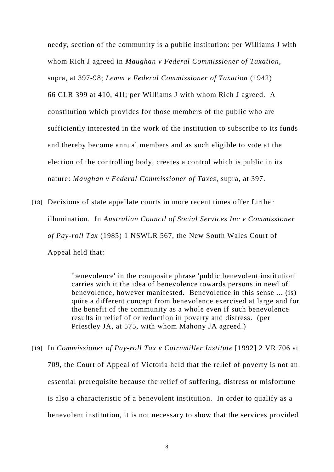needy, section of the community is a public institution: per Williams J with whom Rich J agreed in *Maughan v Federal Commissioner of Taxation,*  supra, at 397-98; *Lemm v Federal Commissioner of Taxation* (1942) 66 CLR 399 at 410, 41l; per Williams J with whom Rich J agreed. A constitution which provides for those members of the public who are sufficiently interested in the work of the institution to subscribe to its funds and thereby become annual members and as such eligible to vote at the election of the controlling body, creates a control which is public in its nature: *Maughan v Federal Commissioner of Taxes,* supra, at 397.

[18] Decisions of state appellate courts in more recent times offer further illumination. In *Australian Council of Social Services Inc v Commissioner of Pay-roll Tax* (1985) 1 NSWLR 567, the New South Wales Court of Appeal held that:

> 'benevolence' in the composite phrase 'public benevolent institution' carries with it the idea of benevolence towards persons in need of benevolence, however manifested. Benevolence in this sense ... (is) quite a different concept from benevolence exercised at large and for the benefit of the community as a whole even if such benevolence results in relief of or reduction in poverty and distress. (per Priestley JA, at 575, with whom Mahony JA agreed.)

[19] In *Commissioner of Pay-roll Tax v Cairnmiller Institute* [1992] 2 VR 706 at 709, the Court of Appeal of Victoria held that the relief of poverty is not an essential prerequisite because the relief of suffering, distress or misfortune is also a characteristic of a benevolent institution. In order to qualify as a benevolent institution, it is not necessary to show that the services provided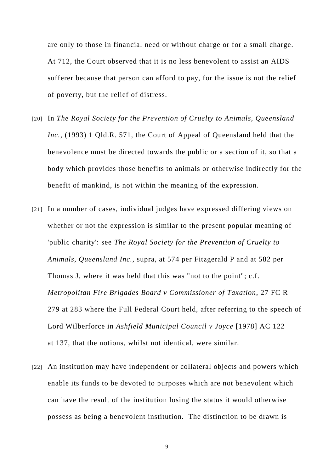are only to those in financial need or without charge or for a small charge. At 712, the Court observed that it is no less benevolent to assist an AIDS sufferer because that person can afford to pay, for the issue is not the relief of poverty, but the relief of distress.

- [20] In *The Royal Society for the Prevention of Cruelty to Animals, Queensland Inc.,* (1993) 1 Qld.R. 571, the Court of Appeal of Queensland held that the benevolence must be directed towards the public or a section of it, so that a body which provides those benefits to animals or otherwise indirectly for the benefit of mankind, is not within the meaning of the expression.
- [21] In a number of cases, individual judges have expressed differing views on whether or not the expression is similar to the present popular meaning of 'public charity': see *The Royal Society for the Prevention of Cruelty to Animals, Queensland Inc.,* supra*,* at 574 per Fitzgerald P and at 582 per Thomas J, where it was held that this was "not to the point"; c.f. *Metropolitan Fire Brigades Board v Commissioner of Taxation*, 27 FC R 279 at 283 where the Full Federal Court held, after referring to the speech of Lord Wilberforce in *Ashfield Municipal Council v Joyce* [1978] AC 122 at 137, that the notions, whilst not identical, were similar.
- [22] An institution may have independent or collateral objects and powers which enable its funds to be devoted to purposes which are not benevolent which can have the result of the institution losing the status it would otherwise possess as being a benevolent institution. The distinction to be drawn is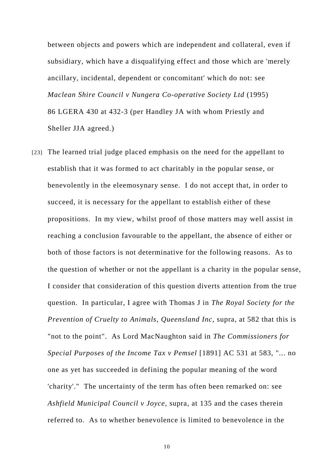between objects and powers which are independent and collateral, even if subsidiary, which have a disqualifying effect and those which are 'merely ancillary, incidental, dependent or concomitant' which do not: see *Maclean Shire Council v Nungera Co-operative Society Ltd* (1995) 86 LGERA 430 at 432-3 (per Handley JA with whom Priestly and Sheller JJA agreed.)

[23] The learned trial judge placed emphasis on the need for the appellant to establish that it was formed to act charitably in the popular sense, or benevolently in the eleemosynary sense. I do not accept that, in order to succeed, it is necessary for the appellant to establish either of these propositions. In my view, whilst proof of those matters may well assist in reaching a conclusion favourable to the appellant, the absence of either or both of those factors is not determinative for the following reasons. As to the question of whether or not the appellant is a charity in the popular sense, I consider that consideration of this question diverts attention from the true question. In particular, I agree with Thomas J in *The Royal Society for the Prevention of Cruelty to Animals, Queensland Inc,* supra*,* at 582 that this is "not to the point". As Lord MacNaughton said in *The Commissioners for Special Purposes of the Income Tax v Pemsel* [1891] AC 531 at 583, "... no one as yet has succeeded in defining the popular meaning of the word 'charity'." The uncertainty of the term has often been remarked on: see *Ashfield Municipal Council v Joyce,* supra*,* at 135 and the cases therein referred to. As to whether benevolence is limited to benevolence in the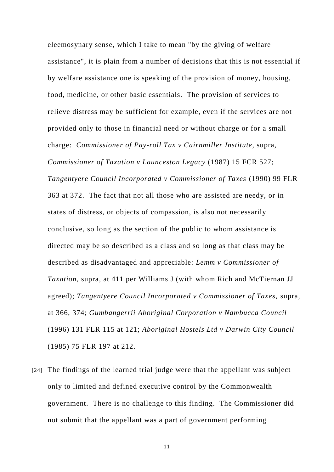eleemosynary sense, which I take to mean "by the giving of welfare assistance", it is plain from a number of decisions that this is not essential if by welfare assistance one is speaking of the provision of money, housing, food, medicine, or other basic essentials. The provision of services to relieve distress may be sufficient for example, even if the services are not provided only to those in financial need or without charge or for a small charge: *Commissioner of Pay-roll Tax v Cairnmiller Institute,* supra*, Commissioner of Taxation v Launceston Legacy* (1987) 15 FCR 527; *Tangentyere Council Incorporated v Commissioner of Taxes* (1990) 99 FLR 363 at 372. The fact that not all those who are assisted are needy, or in states of distress, or objects of compassion, is also not necessarily conclusive, so long as the section of the public to whom assistance is directed may be so described as a class and so long as that class may be described as disadvantaged and appreciable: *Lemm v Commissioner of Taxation,* supra*,* at 411 per Williams J (with whom Rich and McTiernan JJ agreed); *Tangentyere Council Incorporated v Commissioner of Taxes,* supra*,*  at 366, 374; *Gumbangerrii Aboriginal Corporation v Nambucca Council* (1996) 131 FLR 115 at 121; *Aboriginal Hostels Ltd v Darwin City Council* (1985) 75 FLR 197 at 212.

[24] The findings of the learned trial judge were that the appellant was subject only to limited and defined executive control by the Commonwealth government. There is no challenge to this finding. The Commissioner did not submit that the appellant was a part of government performing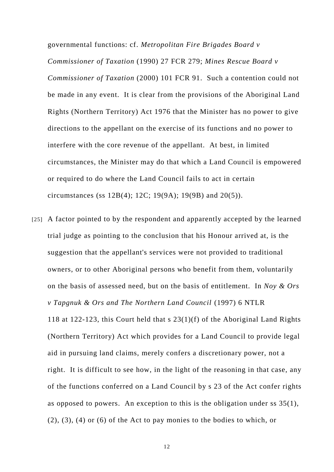governmental functions: cf. *Metropolitan Fire Brigades Board v Commissioner of Taxation* (1990) 27 FCR 279; *Mines Rescue Board v Commissioner of Taxation* (2000) 101 FCR 91. Such a contention could not be made in any event. It is clear from the provisions of the Aboriginal Land Rights (Northern Territory) Act 1976 that the Minister has no power to give directions to the appellant on the exercise of its functions and no power to interfere with the core revenue of the appellant. At best, in limited circumstances, the Minister may do that which a Land Council is empowered or required to do where the Land Council fails to act in certain circumstances (ss 12B(4); 12C; 19(9A); 19(9B) and 20(5)).

[25] A factor pointed to by the respondent and apparently accepted by the learned trial judge as pointing to the conclusion that his Honour arrived at, is the suggestion that the appellant's services were not provided to traditional owners, or to other Aboriginal persons who benefit from them, voluntarily on the basis of assessed need, but on the basis of entitlement. In *Noy & Ors v Tapgnuk & Ors and The Northern Land Council* (1997) 6 NTLR 118 at 122-123, this Court held that s 23(1)(f) of the Aboriginal Land Rights (Northern Territory) Act which provides for a Land Council to provide legal aid in pursuing land claims, merely confers a discretionary power, not a right. It is difficult to see how, in the light of the reasoning in that case, any of the functions conferred on a Land Council by s 23 of the Act confer rights as opposed to powers. An exception to this is the obligation under ss 35(1), (2), (3), (4) or (6) of the Act to pay monies to the bodies to which, or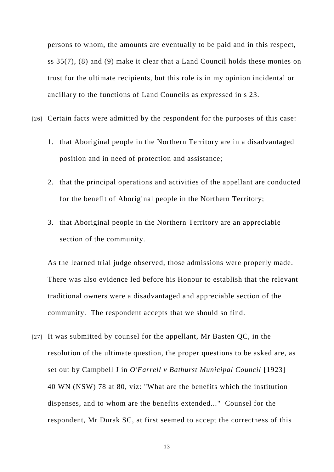persons to whom, the amounts are eventually to be paid and in this respect, ss 35(7), (8) and (9) make it clear that a Land Council holds these monies on trust for the ultimate recipients, but this role is in my opinion incidental or ancillary to the functions of Land Councils as expressed in s 23.

[26] Certain facts were admitted by the respondent for the purposes of this case:

- 1. that Aboriginal people in the Northern Territory are in a disadvantaged position and in need of protection and assistance;
- 2. that the principal operations and activities of the appellant are conducted for the benefit of Aboriginal people in the Northern Territory;
- 3. that Aboriginal people in the Northern Territory are an appreciable section of the community.

As the learned trial judge observed, those admissions were properly made. There was also evidence led before his Honour to establish that the relevant traditional owners were a disadvantaged and appreciable section of the community. The respondent accepts that we should so find.

[27] It was submitted by counsel for the appellant, Mr Basten QC, in the resolution of the ultimate question, the proper questions to be asked are, as set out by Campbell J in *O'Farrell v Bathurst Municipal Council* [1923] 40 WN (NSW) 78 at 80, viz: "What are the benefits which the institution dispenses, and to whom are the benefits extended..." Counsel for the respondent, Mr Durak SC, at first seemed to accept the correctness of this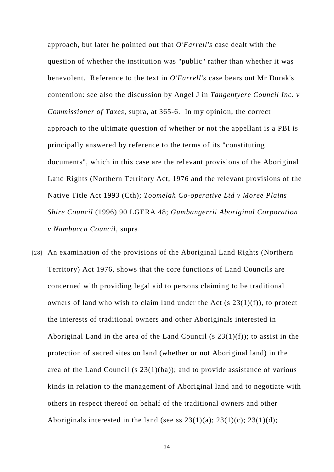approach, but later he pointed out that *O'Farrell's* case dealt with the question of whether the institution was "public" rather than whether it was benevolent. Reference to the text in *O'Farrell's* case bears out Mr Durak's contention: see also the discussion by Angel J in *Tangentyere Council Inc. v Commissioner of Taxes,* supra*,* at 365-6. In my opinion, the correct approach to the ultimate question of whether or not the appellant is a PBI is principally answered by reference to the terms of its "constituting documents", which in this case are the relevant provisions of the Aboriginal Land Rights (Northern Territory Act, 1976 and the relevant provisions of the Native Title Act 1993 (Cth); *Toomelah Co-operative Ltd v Moree Plains Shire Council* (1996) 90 LGERA 48; *Gumbangerrii Aboriginal Corporation v Nambucca Council,* supra.

[28] An examination of the provisions of the Aboriginal Land Rights (Northern Territory) Act 1976, shows that the core functions of Land Councils are concerned with providing legal aid to persons claiming to be traditional owners of land who wish to claim land under the Act  $(s 23(1)(f))$ , to protect the interests of traditional owners and other Aboriginals interested in Aboriginal Land in the area of the Land Council (s  $23(1)(f)$ ); to assist in the protection of sacred sites on land (whether or not Aboriginal land) in the area of the Land Council (s 23(1)(ba)); and to provide assistance of various kinds in relation to the management of Aboriginal land and to negotiate with others in respect thereof on behalf of the traditional owners and other Aboriginals interested in the land (see ss  $23(1)(a)$ ;  $23(1)(c)$ ;  $23(1)(d)$ ;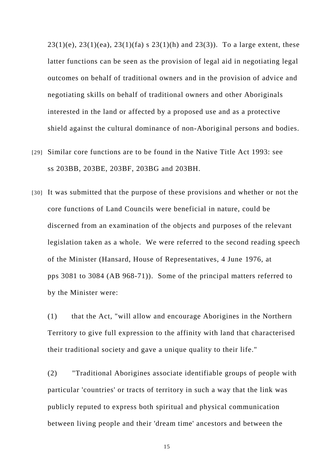$23(1)(e)$ ,  $23(1)(ea)$ ,  $23(1)(fa)$  s  $23(1)(h)$  and  $23(3)$ ). To a large extent, these latter functions can be seen as the provision of legal aid in negotiating legal outcomes on behalf of traditional owners and in the provision of advice and negotiating skills on behalf of traditional owners and other Aboriginals interested in the land or affected by a proposed use and as a protective shield against the cultural dominance of non-Aboriginal persons and bodies.

- [29] Similar core functions are to be found in the Native Title Act 1993: see ss 203BB, 203BE, 203BF, 203BG and 203BH.
- [30] It was submitted that the purpose of these provisions and whether or not the core functions of Land Councils were beneficial in nature, could be discerned from an examination of the objects and purposes of the relevant legislation taken as a whole. We were referred to the second reading speech of the Minister (Hansard, House of Representatives, 4 June 1976, at pps 3081 to 3084 (AB 968-71)). Some of the principal matters referred to by the Minister were:

(1) that the Act, "will allow and encourage Aborigines in the Northern Territory to give full expression to the affinity with land that characterised their traditional society and gave a unique quality to their life."

(2) "Traditional Aborigines associate identifiable groups of people with particular 'countries' or tracts of territory in such a way that the link was publicly reputed to express both spiritual and physical communication between living people and their 'dream time' ancestors and between the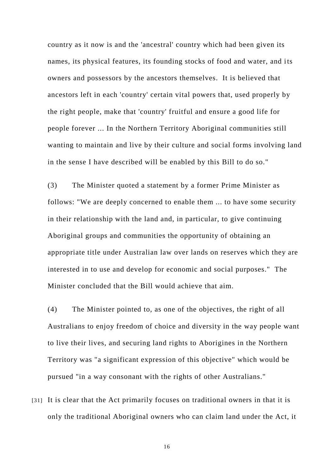country as it now is and the 'ancestral' country which had been given its names, its physical features, its founding stocks of food and water, and its owners and possessors by the ancestors themselves. It is believed that ancestors left in each 'country' certain vital powers that, used properly by the right people, make that 'country' fruitful and ensure a good life for people forever ... In the Northern Territory Aboriginal communities still wanting to maintain and live by their culture and social forms involving land in the sense I have described will be enabled by this Bill to do so."

(3) The Minister quoted a statement by a former Prime Minister as follows: "We are deeply concerned to enable them ... to have some security in their relationship with the land and, in particular, to give continuing Aboriginal groups and communities the opportunity of obtaining an appropriate title under Australian law over lands on reserves which they are interested in to use and develop for economic and social purposes." The Minister concluded that the Bill would achieve that aim.

(4) The Minister pointed to, as one of the objectives, the right of all Australians to enjoy freedom of choice and diversity in the way people want to live their lives, and securing land rights to Aborigines in the Northern Territory was "a significant expression of this objective" which would be pursued "in a way consonant with the rights of other Australians."

[31] It is clear that the Act primarily focuses on traditional owners in that it is only the traditional Aboriginal owners who can claim land under the Act, it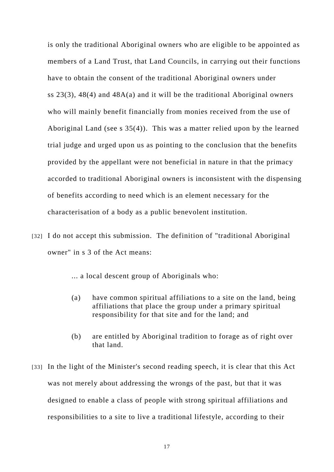is only the traditional Aboriginal owners who are eligible to be appointed as members of a Land Trust, that Land Councils, in carrying out their functions have to obtain the consent of the traditional Aboriginal owners under ss 23(3), 48(4) and 48A(a) and it will be the traditional Aboriginal owners who will mainly benefit financially from monies received from the use of Aboriginal Land (see s 35(4)). This was a matter relied upon by the learned trial judge and urged upon us as pointing to the conclusion that the benefits provided by the appellant were not beneficial in nature in that the primacy accorded to traditional Aboriginal owners is inconsistent with the dispensing of benefits according to need which is an element necessary for the characterisation of a body as a public benevolent institution.

[32] I do not accept this submission. The definition of "traditional Aboriginal owner" in s 3 of the Act means:

... a local descent group of Aboriginals who:

- (a) have common spiritual affiliations to a site on the land, being affiliations that place the group under a primary spiritual responsibility for that site and for the land; and
- (b) are entitled by Aboriginal tradition to forage as of right over that land.
- [33] In the light of the Minister's second reading speech, it is clear that this Act was not merely about addressing the wrongs of the past, but that it was designed to enable a class of people with strong spiritual affiliations and responsibilities to a site to live a traditional lifestyle, according to their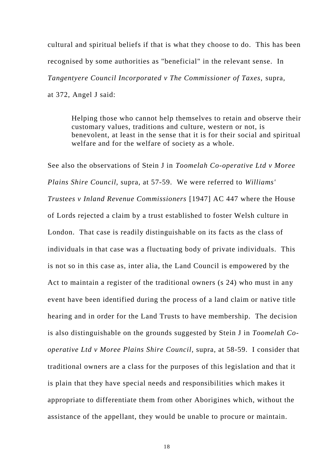cultural and spiritual beliefs if that is what they choose to do. This has been recognised by some authorities as "beneficial" in the relevant sense. In *Tangentyere Council Incorporated v The Commissioner of Taxes,* supra*,* at 372, Angel J said:

Helping those who cannot help themselves to retain and observe their customary values, traditions and culture, western or not, is benevolent, at least in the sense that it is for their social and spiritual welfare and for the welfare of society as a whole.

See also the observations of Stein J in *Toomelah Co-operative Ltd v Moree Plains Shire Council,* supra*,* at 57-59. We were referred to *Williams' Trustees v Inland Revenue Commissioners* [1947] AC 447 where the House of Lords rejected a claim by a trust established to foster Welsh culture in London. That case is readily distinguishable on its facts as the class of individuals in that case was a fluctuating body of private individuals. This is not so in this case as, inter alia, the Land Council is empowered by the Act to maintain a register of the traditional owners (s 24) who must in any event have been identified during the process of a land claim or native title hearing and in order for the Land Trusts to have membership. The decision is also distinguishable on the grounds suggested by Stein J in *Toomelah Cooperative Ltd v Moree Plains Shire Council,* supra*,* at 58-59. I consider that traditional owners are a class for the purposes of this legislation and that it is plain that they have special needs and responsibilities which makes it appropriate to differentiate them from other Aborigines which, without the assistance of the appellant, they would be unable to procure or maintain.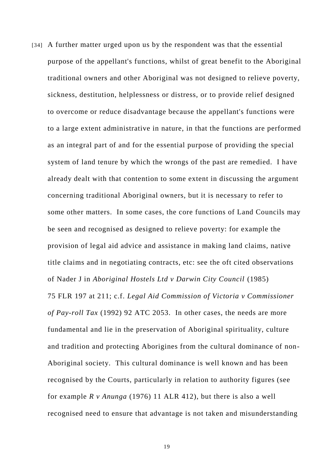[34] A further matter urged upon us by the respondent was that the essential purpose of the appellant's functions, whilst of great benefit to the Aboriginal traditional owners and other Aboriginal was not designed to relieve poverty, sickness, destitution, helplessness or distress, or to provide relief designed to overcome or reduce disadvantage because the appellant's functions were to a large extent administrative in nature, in that the functions are performed as an integral part of and for the essential purpose of providing the special system of land tenure by which the wrongs of the past are remedied. I have already dealt with that contention to some extent in discussing the argument concerning traditional Aboriginal owners, but it is necessary to refer to some other matters. In some cases, the core functions of Land Councils may be seen and recognised as designed to relieve poverty: for example the provision of legal aid advice and assistance in making land claims, native title claims and in negotiating contracts, etc: see the oft cited observations of Nader J in *Aboriginal Hostels Ltd v Darwin City Council* (1985) 75 FLR 197 at 211; c.f. *Legal Aid Commission of Victoria v Commissioner of Pay-roll Tax* (1992) 92 ATC 2053. In other cases, the needs are more fundamental and lie in the preservation of Aboriginal spirituality, culture and tradition and protecting Aborigines from the cultural dominance of non-Aboriginal society. This cultural dominance is well known and has been recognised by the Courts, particularly in relation to authority figures (see for example *R v Anunga* (1976) 11 ALR 412), but there is also a well recognised need to ensure that advantage is not taken and misunderstanding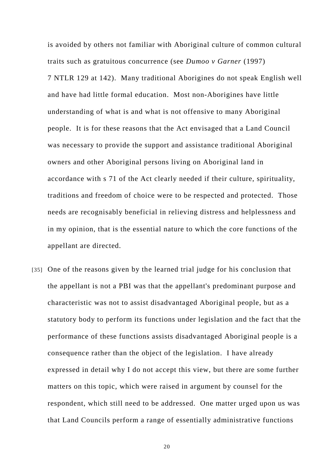is avoided by others not familiar with Aboriginal culture of common cultural traits such as gratuitous concurrence (see *Dumoo v Garner* (1997) 7 NTLR 129 at 142). Many traditional Aborigines do not speak English well and have had little formal education. Most non-Aborigines have little understanding of what is and what is not offensive to many Aboriginal people. It is for these reasons that the Act envisaged that a Land Council was necessary to provide the support and assistance traditional Aboriginal owners and other Aboriginal persons living on Aboriginal land in accordance with s 71 of the Act clearly needed if their culture, spirituality, traditions and freedom of choice were to be respected and protected. Those needs are recognisably beneficial in relieving distress and helplessness and in my opinion, that is the essential nature to which the core functions of the appellant are directed.

[35] One of the reasons given by the learned trial judge for his conclusion that the appellant is not a PBI was that the appellant's predominant purpose and characteristic was not to assist disadvantaged Aboriginal people, but as a statutory body to perform its functions under legislation and the fact that the performance of these functions assists disadvantaged Aboriginal people is a consequence rather than the object of the legislation. I have already expressed in detail why I do not accept this view, but there are some further matters on this topic, which were raised in argument by counsel for the respondent, which still need to be addressed. One matter urged upon us was that Land Councils perform a range of essentially administrative functions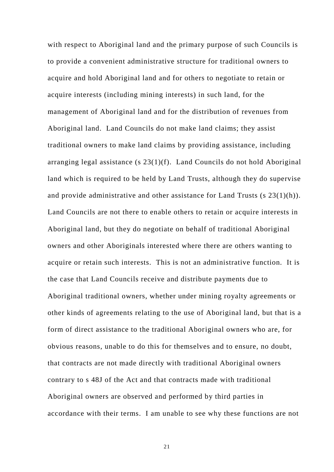with respect to Aboriginal land and the primary purpose of such Councils is to provide a convenient administrative structure for traditional owners to acquire and hold Aboriginal land and for others to negotiate to retain or acquire interests (including mining interests) in such land, for the management of Aboriginal land and for the distribution of revenues from Aboriginal land. Land Councils do not make land claims; they assist traditional owners to make land claims by providing assistance, including arranging legal assistance (s 23(1)(f). Land Councils do not hold Aboriginal land which is required to be held by Land Trusts, although they do supervise and provide administrative and other assistance for Land Trusts (s 23(1)(h)). Land Councils are not there to enable others to retain or acquire interests in Aboriginal land, but they do negotiate on behalf of traditional Aboriginal owners and other Aboriginals interested where there are others wanting to acquire or retain such interests. This is not an administrative function. It is the case that Land Councils receive and distribute payments due to Aboriginal traditional owners, whether under mining royalty agreements or other kinds of agreements relating to the use of Aboriginal land, but that is a form of direct assistance to the traditional Aboriginal owners who are, for obvious reasons, unable to do this for themselves and to ensure, no doubt, that contracts are not made directly with traditional Aboriginal owners contrary to s 48J of the Act and that contracts made with traditional Aboriginal owners are observed and performed by third parties in accordance with their terms. I am unable to see why these functions are not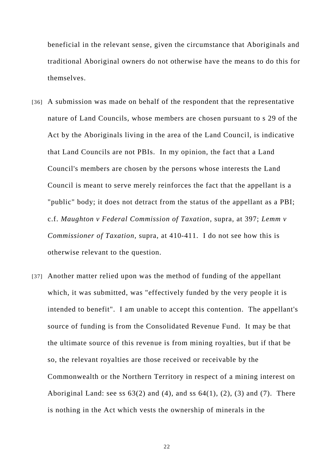beneficial in the relevant sense, given the circumstance that Aboriginals and traditional Aboriginal owners do not otherwise have the means to do this for themselves.

- [36] A submission was made on behalf of the respondent that the representative nature of Land Councils, whose members are chosen pursuant to s 29 of the Act by the Aboriginals living in the area of the Land Council, is indicative that Land Councils are not PBIs. In my opinion, the fact that a Land Council's members are chosen by the persons whose interests the Land Council is meant to serve merely reinforces the fact that the appellant is a "public" body; it does not detract from the status of the appellant as a PBI; c.f. *Maughton v Federal Commission of Taxation,* supra*,* at 397; *Lemm v Commissioner of Taxation,* supra*,* at 410-411. I do not see how this is otherwise relevant to the question.
- [37] Another matter relied upon was the method of funding of the appellant which, it was submitted, was "effectively funded by the very people it is intended to benefit". I am unable to accept this contention. The appellant's source of funding is from the Consolidated Revenue Fund. It may be that the ultimate source of this revenue is from mining royalties, but if that be so, the relevant royalties are those received or receivable by the Commonwealth or the Northern Territory in respect of a mining interest on Aboriginal Land: see ss  $63(2)$  and  $(4)$ , and ss  $64(1)$ ,  $(2)$ ,  $(3)$  and  $(7)$ . There is nothing in the Act which vests the ownership of minerals in the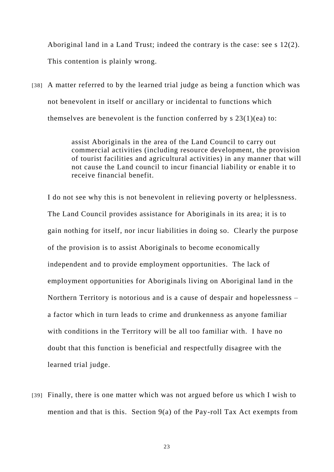Aboriginal land in a Land Trust; indeed the contrary is the case: see s 12(2). This contention is plainly wrong.

[38] A matter referred to by the learned trial judge as being a function which was not benevolent in itself or ancillary or incidental to functions which themselves are benevolent is the function conferred by  $s$  23(1)(ea) to:

> assist Aboriginals in the area of the Land Council to carry out commercial activities (including resource development, the provision of tourist facilities and agricultural activities) in any manner that will not cause the Land council to incur financial liability or enable it to receive financial benefit.

I do not see why this is not benevolent in relieving poverty or helplessness. The Land Council provides assistance for Aboriginals in its area; it is to gain nothing for itself, nor incur liabilities in doing so. Clearly the purpose of the provision is to assist Aboriginals to become economically independent and to provide employment opportunities. The lack of employment opportunities for Aboriginals living on Aboriginal land in the Northern Territory is notorious and is a cause of despair and hopelessness – a factor which in turn leads to crime and drunkenness as anyone familiar with conditions in the Territory will be all too familiar with. I have no doubt that this function is beneficial and respectfully disagree with the learned trial judge.

[39] Finally, there is one matter which was not argued before us which I wish to mention and that is this. Section 9(a) of the Pay-roll Tax Act exempts from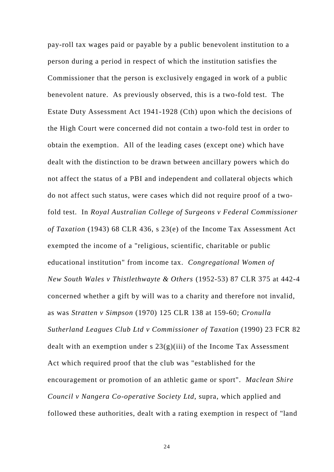pay-roll tax wages paid or payable by a public benevolent institution to a person during a period in respect of which the institution satisfies the Commissioner that the person is exclusively engaged in work of a public benevolent nature. As previously observed, this is a two-fold test. The Estate Duty Assessment Act 1941-1928 (Cth) upon which the decisions of the High Court were concerned did not contain a two-fold test in order to obtain the exemption. All of the leading cases (except one) which have dealt with the distinction to be drawn between ancillary powers which do not affect the status of a PBI and independent and collateral objects which do not affect such status, were cases which did not require proof of a twofold test. In *Royal Australian College of Surgeons v Federal Commissioner of Taxation* (1943) 68 CLR 436, s 23(e) of the Income Tax Assessment Act exempted the income of a "religious, scientific, charitable or public educational institution" from income tax. *Congregational Women of New South Wales v Thistlethwayte & Others* (1952-53) 87 CLR 375 at 442-4 concerned whether a gift by will was to a charity and therefore not invalid, as was *Stratten v Simpson* (1970) 125 CLR 138 at 159-60; *Cronulla Sutherland Leagues Club Ltd v Commissioner of Taxation* (1990) 23 FCR 82 dealt with an exemption under s  $23(g)(iii)$  of the Income Tax Assessment Act which required proof that the club was "established for the encouragement or promotion of an athletic game or sport". *Maclean Shire Council v Nangera Co-operative Society Ltd*, supra, which applied and followed these authorities, dealt with a rating exemption in respect of "land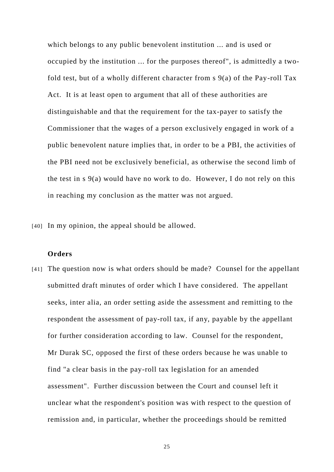which belongs to any public benevolent institution ... and is used or occupied by the institution ... for the purposes thereof", is admittedly a twofold test, but of a wholly different character from s 9(a) of the Pay-roll Tax Act. It is at least open to argument that all of these authorities are distinguishable and that the requirement for the tax-payer to satisfy the Commissioner that the wages of a person exclusively engaged in work of a public benevolent nature implies that, in order to be a PBI, the activities of the PBI need not be exclusively beneficial, as otherwise the second limb of the test in  $s \theta(a)$  would have no work to do. However, I do not rely on this in reaching my conclusion as the matter was not argued.

[40] In my opinion, the appeal should be allowed.

#### **Orders**

[41] The question now is what orders should be made? Counsel for the appellant submitted draft minutes of order which I have considered. The appellant seeks, inter alia, an order setting aside the assessment and remitting to the respondent the assessment of pay-roll tax, if any, payable by the appellant for further consideration according to law. Counsel for the respondent, Mr Durak SC, opposed the first of these orders because he was unable to find "a clear basis in the pay-roll tax legislation for an amended assessment". Further discussion between the Court and counsel left it unclear what the respondent's position was with respect to the question of remission and, in particular, whether the proceedings should be remitted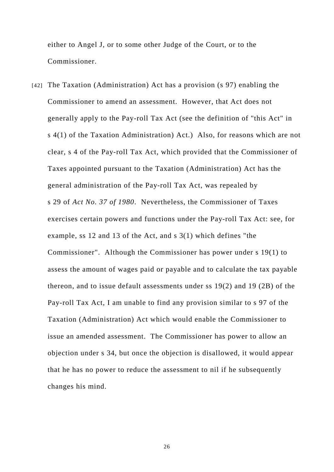either to Angel J, or to some other Judge of the Court, or to the Commissioner.

[42] The Taxation (Administration) Act has a provision (s 97) enabling the Commissioner to amend an assessment. However, that Act does not generally apply to the Pay-roll Tax Act (see the definition of "this Act" in s 4(1) of the Taxation Administration) Act.)Also, for reasons which are not clear, s 4 of the Pay-roll Tax Act, which provided that the Commissioner of Taxes appointed pursuant to the Taxation (Administration) Act has the general administration of the Pay-roll Tax Act, was repealed by s 29 of *Act No. 37 of 1980*. Nevertheless, the Commissioner of Taxes exercises certain powers and functions under the Pay-roll Tax Act: see, for example, ss 12 and 13 of the Act, and s 3(1) which defines "the Commissioner". Although the Commissioner has power under s 19(1) to assess the amount of wages paid or payable and to calculate the tax payable thereon, and to issue default assessments under ss 19(2) and 19 (2B) of the Pay-roll Tax Act, I am unable to find any provision similar to s 97 of the Taxation (Administration) Act which would enable the Commissioner to issue an amended assessment. The Commissioner has power to allow an objection under s 34, but once the objection is disallowed, it would appear that he has no power to reduce the assessment to nil if he subsequently changes his mind.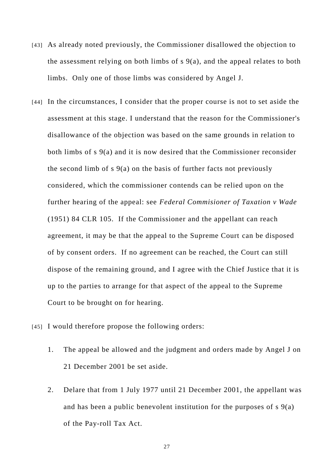- [43] As already noted previously, the Commissioner disallowed the objection to the assessment relying on both limbs of s 9(a), and the appeal relates to both limbs. Only one of those limbs was considered by Angel J.
- [44] In the circumstances, I consider that the proper course is not to set aside the assessment at this stage. I understand that the reason for the Commissioner's disallowance of the objection was based on the same grounds in relation to both limbs of s 9(a) and it is now desired that the Commissioner reconsider the second limb of  $s \theta(a)$  on the basis of further facts not previously considered, which the commissioner contends can be relied upon on the further hearing of the appeal: see *Federal Commisioner of Taxation v Wade* (1951) 84 CLR 105. If the Commissioner and the appellant can reach agreement, it may be that the appeal to the Supreme Court can be disposed of by consent orders. If no agreement can be reached, the Court can still dispose of the remaining ground, and I agree with the Chief Justice that it is up to the parties to arrange for that aspect of the appeal to the Supreme Court to be brought on for hearing.
- [45] I would therefore propose the following orders:
	- 1. The appeal be allowed and the judgment and orders made by Angel J on 21 December 2001 be set aside.
	- 2. Delare that from 1 July 1977 until 21 December 2001, the appellant was and has been a public benevolent institution for the purposes of s 9(a) of the Pay-roll Tax Act.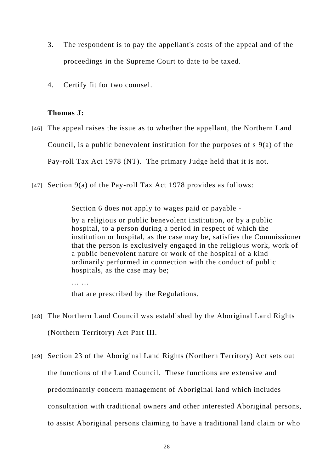- 3. The respondent is to pay the appellant's costs of the appeal and of the proceedings in the Supreme Court to date to be taxed.
- 4. Certify fit for two counsel.

## **Thomas J:**

- [46] The appeal raises the issue as to whether the appellant, the Northern Land Council, is a public benevolent institution for the purposes of s 9(a) of the Pay-roll Tax Act 1978 (NT). The primary Judge held that it is not.
- [47] Section 9(a) of the Pay-roll Tax Act 1978 provides as follows:

Section 6 does not apply to wages paid or payable -

by a religious or public benevolent institution, or by a public hospital, to a person during a period in respect of which the institution or hospital, as the case may be, satisfies the Commissioner that the person is exclusively engaged in the religious work, work of a public benevolent nature or work of the hospital of a kind ordinarily performed in connection with the conduct of public hospitals, as the case may be;

that are prescribed by the Regulations.

- [48] The Northern Land Council was established by the Aboriginal Land Rights (Northern Territory) Act Part III.
- [49] Section 23 of the Aboriginal Land Rights (Northern Territory) Act sets out the functions of the Land Council. These functions are extensive and predominantly concern management of Aboriginal land which includes consultation with traditional owners and other interested Aboriginal persons, to assist Aboriginal persons claiming to have a traditional land claim or who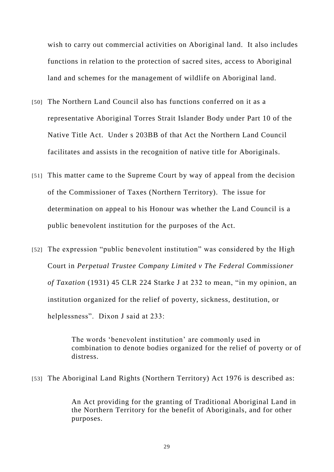wish to carry out commercial activities on Aboriginal land. It also includes functions in relation to the protection of sacred sites, access to Aboriginal land and schemes for the management of wildlife on Aboriginal land.

- [50] The Northern Land Council also has functions conferred on it as a representative Aboriginal Torres Strait Islander Body under Part 10 of the Native Title Act. Under s 203BB of that Act the Northern Land Council facilitates and assists in the recognition of native title for Aboriginals.
- [51] This matter came to the Supreme Court by way of appeal from the decision of the Commissioner of Taxes (Northern Territory). The issue for determination on appeal to his Honour was whether the Land Council is a public benevolent institution for the purposes of the Act.
- [52] The expression "public benevolent institution" was considered by the High Court in *Perpetual Trustee Company Limited v The Federal Commissioner of Taxation* (1931) 45 CLR 224 Starke J at 232 to mean, "in my opinion, an institution organized for the relief of poverty, sickness, destitution, or helplessness". Dixon J said at 233:

The words 'benevolent institution' are commonly used in combination to denote bodies organized for the relief of poverty or of distress.

[53] The Aboriginal Land Rights (Northern Territory) Act 1976 is described as:

An Act providing for the granting of Traditional Aboriginal Land in the Northern Territory for the benefit of Aboriginals, and for other purposes.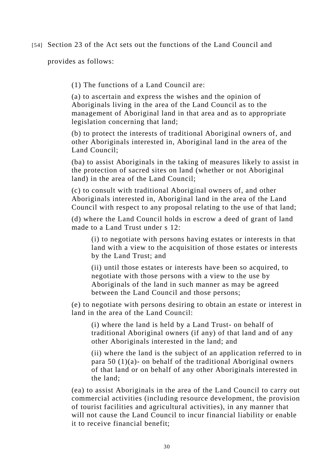[54] Section 23 of the Act sets out the functions of the Land Council and

provides as follows:

(1) The functions of a Land Council are:

(a) to ascertain and express the wishes and the opinion of Aboriginals living in the area of the Land Council as to the management of Aboriginal land in that area and as to appropriate legislation concerning that land;

(b) to protect the interests of traditional Aboriginal owners of, and other Aboriginals interested in, Aboriginal land in the area of the Land Council;

(ba) to assist Aboriginals in the taking of measures likely to assist in the protection of sacred sites on land (whether or not Aboriginal land) in the area of the Land Council;

(c) to consult with traditional Aboriginal owners of, and other Aboriginals interested in, Aboriginal land in the area of the Land Council with respect to any proposal relating to the use of that land;

(d) where the Land Council holds in escrow a deed of grant of land made to a Land Trust under s 12:

(i) to negotiate with persons having estates or interests in that land with a view to the acquisition of those estates or interests by the Land Trust; and

(ii) until those estates or interests have been so acquired, to negotiate with those persons with a view to the use by Aboriginals of the land in such manner as may be agreed between the Land Council and those persons;

(e) to negotiate with persons desiring to obtain an estate or interest in land in the area of the Land Council:

(i) where the land is held by a Land Trust- on behalf of traditional Aboriginal owners (if any) of that land and of any other Aboriginals interested in the land; and

(ii) where the land is the subject of an application referred to in para 50 (1)(a)- on behalf of the traditional Aboriginal owners of that land or on behalf of any other Aboriginals interested in the land;

(ea) to assist Aboriginals in the area of the Land Council to carry out commercial activities (including resource development, the provision of tourist facilities and agricultural activities), in any manner that will not cause the Land Council to incur financial liability or enable it to receive financial benefit;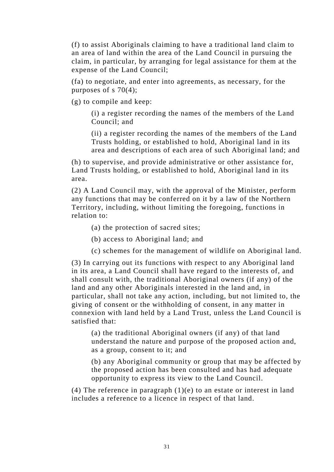(f) to assist Aboriginals claiming to have a traditional land claim to an area of land within the area of the Land Council in pursuing the claim, in particular, by arranging for legal assistance for them at the expense of the Land Council;

(fa) to negotiate, and enter into agreements, as necessary, for the purposes of s 70(4);

(g) to compile and keep:

(i) a register recording the names of the members of the Land Council; and

(ii) a register recording the names of the members of the Land Trusts holding, or established to hold, Aboriginal land in its area and descriptions of each area of such Aboriginal land; and

(h) to supervise, and provide administrative or other assistance for, Land Trusts holding, or established to hold, Aboriginal land in its area.

(2) A Land Council may, with the approval of the Minister, perform any functions that may be conferred on it by a law of the Northern Territory, including, without limiting the foregoing, functions in relation to:

(a) the protection of sacred sites;

(b) access to Aboriginal land; and

(c) schemes for the management of wildlife on Aboriginal land.

(3) In carrying out its functions with respect to any Aboriginal land in its area, a Land Council shall have regard to the interests of, and shall consult with, the traditional Aboriginal owners (if any) of the land and any other Aboriginals interested in the land and, in particular, shall not take any action, including, but not limited to, the giving of consent or the withholding of consent, in any matter in connexion with land held by a Land Trust, unless the Land Council is satisfied that:

(a) the traditional Aboriginal owners (if any) of that land understand the nature and purpose of the proposed action and, as a group, consent to it; and

(b) any Aboriginal community or group that may be affected by the proposed action has been consulted and has had adequate opportunity to express its view to the Land Council.

(4) The reference in paragraph  $(1)(e)$  to an estate or interest in land includes a reference to a licence in respect of that land.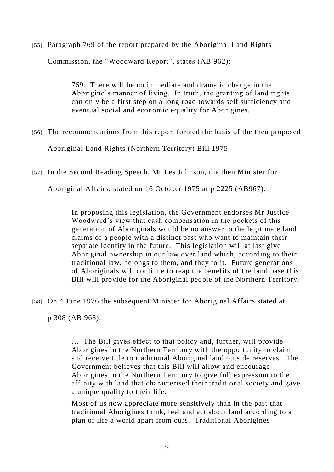[55] Paragraph 769 of the report prepared by the Aboriginal Land Rights Commission, the "Woodward Report", states (AB 962):

> 769. There will be no immediate and dramatic change in the Aborigine's manner of living. In truth, the granting of land rights can only be a first step on a long road towards self sufficiency and eventual social and economic equality for Aborigines.

[56] The recommendations from this report formed the basis of the then proposed

Aboriginal Land Rights (Northern Territory) Bill 1975.

[57] In the Second Reading Speech, Mr Les Johnson, the then Minister for

Aboriginal Affairs, stated on 16 October 1975 at p 2225 (AB967):

In proposing this legislation, the Government endorses Mr Justice Woodward's view that cash compensation in the pockets of this generation of Aboriginals would be no answer to the legitimate land claims of a people with a distinct past who want to maintain their separate identity in the future. This legislation will at last give Aboriginal ownership in our law over land which, according to their traditional law, belongs to them, and they to it. Future generations of Aboriginals will continue to reap the benefits of the land base this Bill will provide for the Aboriginal people of the Northern Territory.

[58] On 4 June 1976 the subsequent Minister for Aboriginal Affairs stated at

p 308 (AB 968):

… The Bill gives effect to that policy and, further, will provide Aborigines in the Northern Territory with the opportunity to claim and receive title to traditional Aboriginal land outside reserves. The Government believes that this Bill will allow and encourage Aborigines in the Northern Territory to give full expression to the affinity with land that characterised their traditional society and gave a unique quality to their life.

Most of us now appreciate more sensitively than in the past that traditional Aborigines think, feel and act about land according to a plan of life a world apart from ours. Traditional Aborigines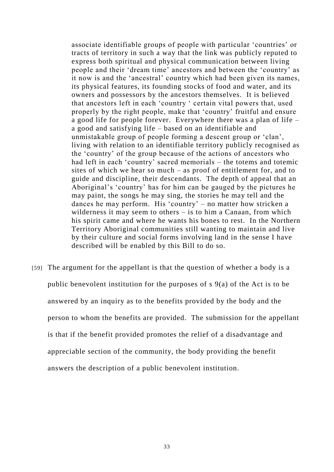associate identifiable groups of people with particular 'countries' or tracts of territory in such a way that the link was publicly reputed to express both spiritual and physical communication between living people and their 'dream time' ancestors and between the 'country' as it now is and the 'ancestral' country which had been given its names, its physical features, its founding stocks of food and water, and its owners and possessors by the ancestors themselves. It is believed that ancestors left in each 'country ' certain vital powers that, used properly by the right people, make that 'country' fruitful and ensure a good life for people forever. Everywhere there was a plan of life – a good and satisfying life – based on an identifiable and unmistakable group of people forming a descent group or 'clan', living with relation to an identifiable territory publicly recognised as the 'country' of the group because of the actions of ancestors who had left in each 'country' sacred memorials – the totems and totemic sites of which we hear so much – as proof of entitlement for, and to guide and discipline, their descendants. The depth of appeal that an Aboriginal's 'country' has for him can be gauged by the pictures he may paint, the songs he may sing, the stories he may tell and the dances he may perform. His 'country' – no matter how stricken a wilderness it may seem to others – is to him a Canaan, from which his spirit came and where he wants his bones to rest. In the Northern Territory Aboriginal communities still wanting to maintain and live by their culture and social forms involving land in the sense I have described will be enabled by this Bill to do so.

[59] The argument for the appellant is that the question of whether a body is a public benevolent institution for the purposes of s 9(a) of the Act is to be answered by an inquiry as to the benefits provided by the body and the person to whom the benefits are provided. The submission for the appellant is that if the benefit provided promotes the relief of a disadvantage and appreciable section of the community, the body providing the benefit answers the description of a public benevolent institution.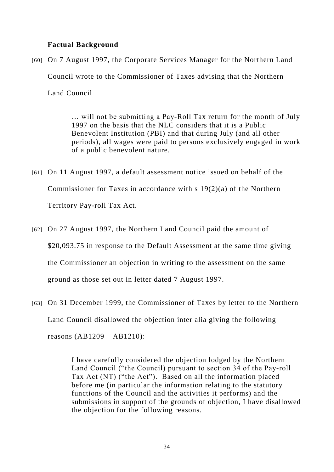### **Factual Background**

[60] On 7 August 1997, the Corporate Services Manager for the Northern Land Council wrote to the Commissioner of Taxes advising that the Northern Land Council

> … will not be submitting a Pay-Roll Tax return for the month of July 1997 on the basis that the NLC considers that it is a Public Benevolent Institution (PBI) and that during July (and all other periods), all wages were paid to persons exclusively engaged in work of a public benevolent nature.

- [61] On 11 August 1997, a default assessment notice issued on behalf of the Commissioner for Taxes in accordance with s 19(2)(a) of the Northern Territory Pay-roll Tax Act.
- [62] On 27 August 1997, the Northern Land Council paid the amount of \$20,093.75 in response to the Default Assessment at the same time giving the Commissioner an objection in writing to the assessment on the same ground as those set out in letter dated 7 August 1997.
- [63] On 31 December 1999, the Commissioner of Taxes by letter to the Northern Land Council disallowed the objection inter alia giving the following reasons (AB1209 – AB1210):

I have carefully considered the objection lodged by the Northern Land Council ("the Council) pursuant to section 34 of the Pay-roll Tax Act (NT) ("the Act"). Based on all the information placed before me (in particular the information relating to the statutory functions of the Council and the activities it performs) and the submissions in support of the grounds of objection, I have disallowed the objection for the following reasons.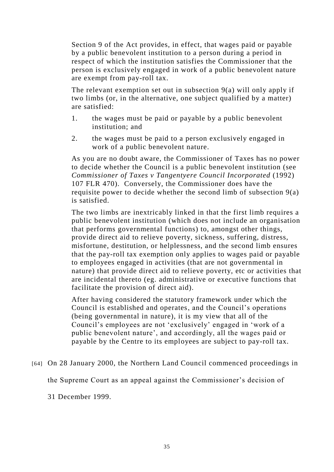Section 9 of the Act provides, in effect, that wages paid or payable by a public benevolent institution to a person during a period in respect of which the institution satisfies the Commissioner that the person is exclusively engaged in work of a public benevolent nature are exempt from pay-roll tax.

The relevant exemption set out in subsection 9(a) will only apply if two limbs (or, in the alternative, one subject qualified by a matter) are satisfied:

- 1. the wages must be paid or payable by a public benevolent institution; and
- 2. the wages must be paid to a person exclusively engaged in work of a public benevolent nature.

As you are no doubt aware, the Commissioner of Taxes has no power to decide whether the Council is a public benevolent institution (see *Commissioner of Taxes v Tangentyere Council Incorporated* (1992) 107 FLR 470). Conversely, the Commissioner does have the requisite power to decide whether the second limb of subsection 9(a) is satisfied.

The two limbs are inextricably linked in that the first limb requires a public benevolent institution (which does not include an organisation that performs governmental functions) to, amongst other things, provide direct aid to relieve poverty, sickness, suffering, distress, misfortune, destitution, or helplessness, and the second limb ensures that the pay-roll tax exemption only applies to wages paid or payable to employees engaged in activities (that are not governmental in nature) that provide direct aid to relieve poverty, etc or activities that are incidental thereto (eg. administrative or executive functions that facilitate the provision of direct aid).

After having considered the statutory framework under which the Council is established and operates, and the Council's operations (being governmental in nature), it is my view that all of the Council's employees are not 'exclusively' engaged in 'work of a public benevolent nature', and accordingly, all the wages paid or payable by the Centre to its employees are subject to pay-roll tax.

[64] On 28 January 2000, the Northern Land Council commenced proceedings in

the Supreme Court as an appeal against the Commissioner's decision of

31 December 1999.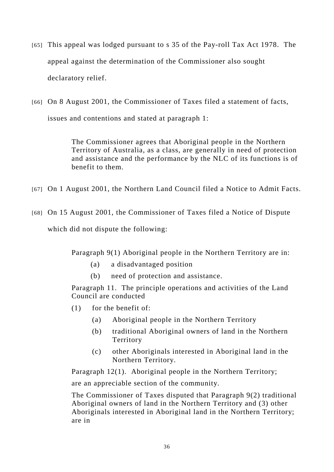- [65] This appeal was lodged pursuant to s 35 of the Pay-roll Tax Act 1978. The appeal against the determination of the Commissioner also sought declaratory relief.
- [66] On 8 August 2001, the Commissioner of Taxes filed a statement of facts, issues and contentions and stated at paragraph 1:

The Commissioner agrees that Aboriginal people in the Northern Territory of Australia, as a class, are generally in need of protection and assistance and the performance by the NLC of its functions is of benefit to them.

- [67] On 1 August 2001, the Northern Land Council filed a Notice to Admit Facts.
- [68] On 15 August 2001, the Commissioner of Taxes filed a Notice of Dispute which did not dispute the following:

Paragraph 9(1) Aboriginal people in the Northern Territory are in:

- (a) a disadvantaged position
- (b) need of protection and assistance.

Paragraph 11. The principle operations and activities of the Land Council are conducted

- (1) for the benefit of:
	- (a) Aboriginal people in the Northern Territory
	- (b) traditional Aboriginal owners of land in the Northern Territory
	- (c) other Aboriginals interested in Aboriginal land in the Northern Territory.

Paragraph 12(1). Aboriginal people in the Northern Territory; are an appreciable section of the community.

The Commissioner of Taxes disputed that Paragraph 9(2) traditional Aboriginal owners of land in the Northern Territory and (3) other Aboriginals interested in Aboriginal land in the Northern Territory; are in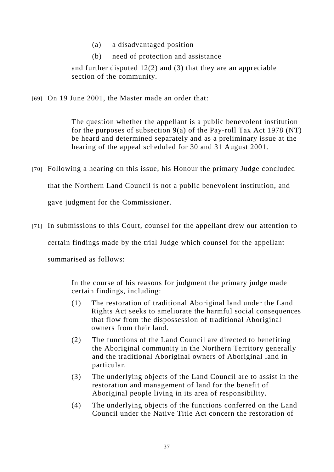- (a) a disadvantaged position
- (b) need of protection and assistance

and further disputed 12(2) and (3) that they are an appreciable section of the community.

[69] On 19 June 2001, the Master made an order that:

The question whether the appellant is a public benevolent institution for the purposes of subsection 9(a) of the Pay-roll Tax Act 1978 (NT) be heard and determined separately and as a preliminary issue at the hearing of the appeal scheduled for 30 and 31 August 2001.

- [70] Following a hearing on this issue, his Honour the primary Judge concluded that the Northern Land Council is not a public benevolent institution, and gave judgment for the Commissioner.
- [71] In submissions to this Court, counsel for the appellant drew our attention to certain findings made by the trial Judge which counsel for the appellant summarised as follows:

In the course of his reasons for judgment the primary judge made certain findings, including:

- (1) The restoration of traditional Aboriginal land under the Land Rights Act seeks to ameliorate the harmful social consequences that flow from the dispossession of traditional Aboriginal owners from their land.
- (2) The functions of the Land Council are directed to benefiting the Aboriginal community in the Northern Territory generally and the traditional Aboriginal owners of Aboriginal land in particular.
- (3) The underlying objects of the Land Council are to assist in the restoration and management of land for the benefit of Aboriginal people living in its area of responsibility.
- (4) The underlying objects of the functions conferred on the Land Council under the Native Title Act concern the restoration of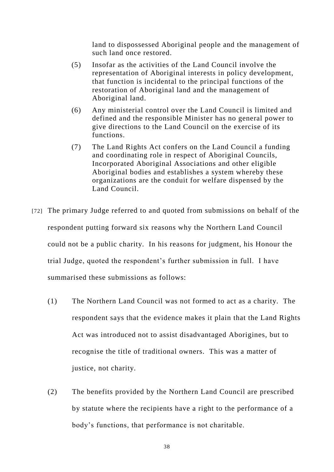land to dispossessed Aboriginal people and the management of such land once restored.

- (5) Insofar as the activities of the Land Council involve the representation of Aboriginal interests in policy development, that function is incidental to the principal functions of the restoration of Aboriginal land and the management of Aboriginal land.
- (6) Any ministerial control over the Land Council is limited and defined and the responsible Minister has no general power to give directions to the Land Council on the exercise of its functions.
- (7) The Land Rights Act confers on the Land Council a funding and coordinating role in respect of Aboriginal Councils, Incorporated Aboriginal Associations and other eligible Aboriginal bodies and establishes a system whereby these organizations are the conduit for welfare dispensed by the Land Council.
- [72] The primary Judge referred to and quoted from submissions on behalf of the respondent putting forward six reasons why the Northern Land Council could not be a public charity. In his reasons for judgment, his Honour the trial Judge, quoted the respondent's further submission in full. I have summarised these submissions as follows:
	- (1) The Northern Land Council was not formed to act as a charity. The respondent says that the evidence makes it plain that the Land Rights Act was introduced not to assist disadvantaged Aborigines, but to recognise the title of traditional owners. This was a matter of justice, not charity.
	- (2) The benefits provided by the Northern Land Council are prescribed by statute where the recipients have a right to the performance of a body's functions, that performance is not charitable.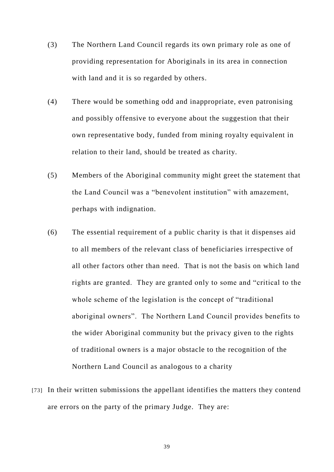- (3) The Northern Land Council regards its own primary role as one of providing representation for Aboriginals in its area in connection with land and it is so regarded by others.
- (4) There would be something odd and inappropriate, even patronising and possibly offensive to everyone about the suggestion that their own representative body, funded from mining royalty equivalent in relation to their land, should be treated as charity.
- (5) Members of the Aboriginal community might greet the statement that the Land Council was a "benevolent institution" with amazement, perhaps with indignation.
- (6) The essential requirement of a public charity is that it dispenses aid to all members of the relevant class of beneficiaries irrespective of all other factors other than need. That is not the basis on which land rights are granted. They are granted only to some and "critical to the whole scheme of the legislation is the concept of "traditional aboriginal owners". The Northern Land Council provides benefits to the wider Aboriginal community but the privacy given to the rights of traditional owners is a major obstacle to the recognition of the Northern Land Council as analogous to a charity
- [73] In their written submissions the appellant identifies the matters they contend are errors on the party of the primary Judge. They are: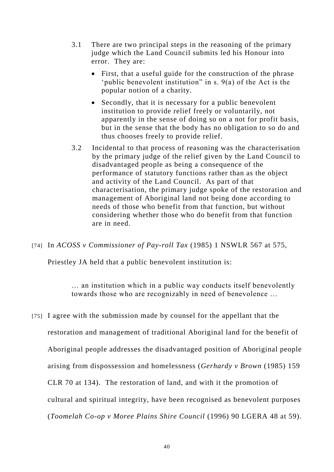- 3.1 There are two principal steps in the reasoning of the primary judge which the Land Council submits led his Honour into error. They are:
	- First, that a useful guide for the construction of the phrase 'public benevolent institution" in s. 9(a) of the Act is the popular notion of a charity.
	- Secondly, that it is necessary for a public benevolent institution to provide relief freely or voluntarily, not apparently in the sense of doing so on a not for profit basis, but in the sense that the body has no obligation to so do and thus chooses freely to provide relief.
- 3.2 Incidental to that process of reasoning was the characterisation by the primary judge of the relief given by the Land Council to disadvantaged people as being a consequence of the performance of statutory functions rather than as the object and activity of the Land Council. As part of that characterisation, the primary judge spoke of the restoration and management of Aboriginal land not being done according to needs of those who benefit from that function, but without considering whether those who do benefit from that function are in need.
- [74] In *ACOSS v Commissioner of Pay-roll Tax* (1985) 1 NSWLR 567 at 575,

Priestley JA held that a public benevolent institution is:

… an institution which in a public way conducts itself benevolently towards those who are recognizably in need of benevolence …

[75] I agree with the submission made by counsel for the appellant that the restoration and management of traditional Aboriginal land for the benefit of Aboriginal people addresses the disadvantaged position of Aboriginal people arising from dispossession and homelessness (*Gerhardy v Brown* (1985) 159 CLR 70 at 134). The restoration of land, and with it the promotion of cultural and spiritual integrity, have been recognised as benevolent purposes (*Toomelah Co-op v Moree Plains Shire Council* (1996) 90 LGERA 48 at 59).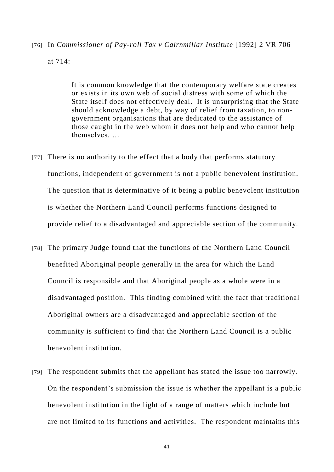# [76] In *Commissioner of Pay-roll Tax v Cairnmillar Institute* [1992] 2 VR 706

#### at 714:

It is common knowledge that the contemporary welfare state creates or exists in its own web of social distress with some of which the State itself does not effectively deal. It is unsurprising that the State should acknowledge a debt, by way of relief from taxation, to nongovernment organisations that are dedicated to the assistance of those caught in the web whom it does not help and who cannot help themselves. …

- [77] There is no authority to the effect that a body that performs statutory functions, independent of government is not a public benevolent institution. The question that is determinative of it being a public benevolent institution is whether the Northern Land Council performs functions designed to provide relief to a disadvantaged and appreciable section of the community.
- [78] The primary Judge found that the functions of the Northern Land Council benefited Aboriginal people generally in the area for which the Land Council is responsible and that Aboriginal people as a whole were in a disadvantaged position. This finding combined with the fact that traditional Aboriginal owners are a disadvantaged and appreciable section of the community is sufficient to find that the Northern Land Council is a public benevolent institution.
- [79] The respondent submits that the appellant has stated the issue too narrowly. On the respondent's submission the issue is whether the appellant is a public benevolent institution in the light of a range of matters which include but are not limited to its functions and activities. The respondent maintains this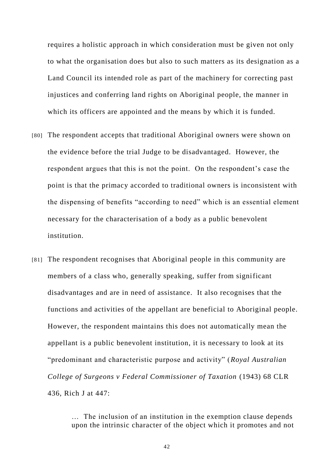requires a holistic approach in which consideration must be given not only to what the organisation does but also to such matters as its designation as a Land Council its intended role as part of the machinery for correcting past injustices and conferring land rights on Aboriginal people, the manner in which its officers are appointed and the means by which it is funded.

- [80] The respondent accepts that traditional Aboriginal owners were shown on the evidence before the trial Judge to be disadvantaged. However, the respondent argues that this is not the point. On the respondent's case the point is that the primacy accorded to traditional owners is inconsistent with the dispensing of benefits "according to need" which is an essential element necessary for the characterisation of a body as a public benevolent institution.
- [81] The respondent recognises that Aboriginal people in this community are members of a class who, generally speaking, suffer from significant disadvantages and are in need of assistance. It also recognises that the functions and activities of the appellant are beneficial to Aboriginal people. However, the respondent maintains this does not automatically mean the appellant is a public benevolent institution, it is necessary to look at its "predominant and characteristic purpose and activity" (*Royal Australian College of Surgeons v Federal Commissioner of Taxation* (1943) 68 CLR 436, Rich J at 447:

… The inclusion of an institution in the exemption clause depends upon the intrinsic character of the object which it promotes and not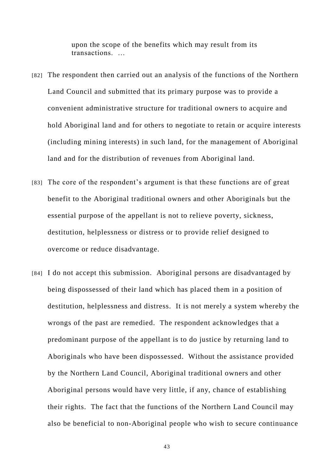upon the scope of the benefits which may result from its transactions. …

- [82] The respondent then carried out an analysis of the functions of the Northern Land Council and submitted that its primary purpose was to provide a convenient administrative structure for traditional owners to acquire and hold Aboriginal land and for others to negotiate to retain or acquire interests (including mining interests) in such land, for the management of Aboriginal land and for the distribution of revenues from Aboriginal land.
- [83] The core of the respondent's argument is that these functions are of great benefit to the Aboriginal traditional owners and other Aboriginals but the essential purpose of the appellant is not to relieve poverty, sickness, destitution, helplessness or distress or to provide relief designed to overcome or reduce disadvantage.
- [84] I do not accept this submission. Aboriginal persons are disadvantaged by being dispossessed of their land which has placed them in a position of destitution, helplessness and distress. It is not merely a system whereby the wrongs of the past are remedied. The respondent acknowledges that a predominant purpose of the appellant is to do justice by returning land to Aboriginals who have been dispossessed. Without the assistance provided by the Northern Land Council, Aboriginal traditional owners and other Aboriginal persons would have very little, if any, chance of establishing their rights. The fact that the functions of the Northern Land Council may also be beneficial to non-Aboriginal people who wish to secure continuance